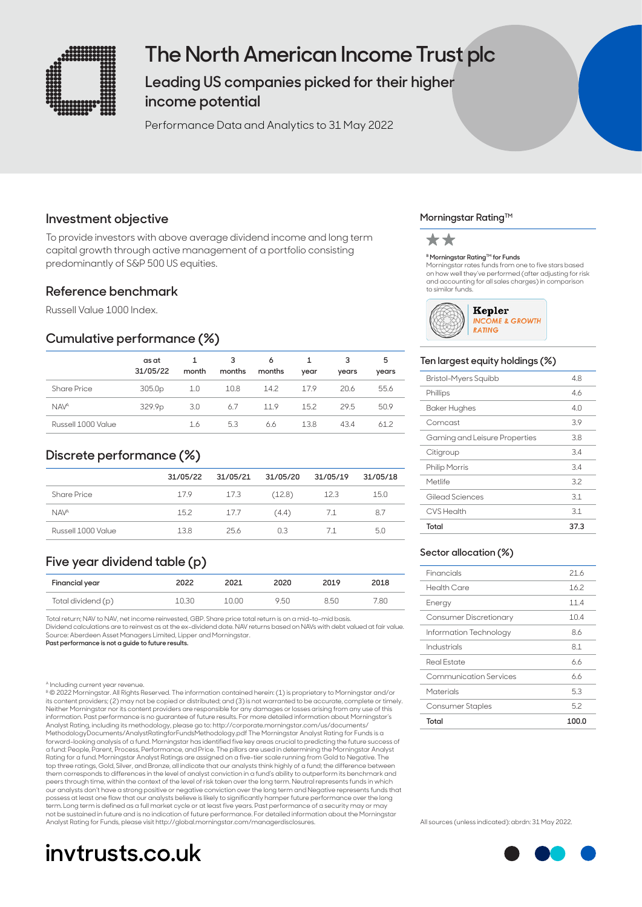

# **The North American Income Trust plc**

**Leading US companies picked for their higher income potential** 

Performance Data and Analytics to 31 May 2022

## **Investment objective**

To provide investors with above average dividend income and long term capital growth through active management of a portfolio consisting predominantly of S&P 500 US equities.

## **Reference benchmark**

Russell Value 1000 Index.

## **Cumulative performance (%)**

|                    | as at<br>31/05/22  | month | 3<br>months | 6<br>months | year | 3<br>years | 5<br>years |
|--------------------|--------------------|-------|-------------|-------------|------|------------|------------|
| Share Price        | 305.0p             | 1.0   | 10.8        | 14.2        | 17.9 | 20.6       | 55.6       |
| <b>NAVA</b>        | 329.9 <sub>p</sub> | 3.0   | 6.7         | 11.9        | 15.2 | 29.5       | 50.9       |
| Russell 1000 Value |                    | 1.6   | 5.3         | 6.6         | 13.8 | 43.4       | 61.2       |

## **Discrete performance (%)**

|                        | 31/05/22 | 31/05/21 | 31/05/20 | 31/05/19 | 31/05/18 |
|------------------------|----------|----------|----------|----------|----------|
| <b>Share Price</b>     | 17.9     | 17.3     | (12.8)   | 12.3     | 15.0     |
| <b>NAV<sup>A</sup></b> | 15.2     | 17.7     | (4.4)    | 7.1      | 8.7      |
| Russell 1000 Value     | 138      | 256      | n 3      | 71       | 5.0      |

## **Five year dividend table (p)**

| Financial year     | 2022  | 2021  | 2020 | 2019 | 2018 |
|--------------------|-------|-------|------|------|------|
| Total dividend (p) | 10.30 | 10.00 | 9.50 | 8.50 | 7.80 |

Total return; NAV to NAV, net income reinvested, GBP. Share price total return is on a mid-to-mid basis. Dividend calculations are to reinvest as at the ex-dividend date. NAV returns based on NAVs with debt valued at fair value. Source: Aberdeen Asset Managers Limited, Lipper and Morningstar.

**Past performance is not a guide to future results.**

A Including current year revenue.

B © 2022 Morningstar. All Rights Reserved. The information contained herein: (1) is proprietary to Morningstar and/or its content providers; (2) may not be copied or distributed; and (3) is not warranted to be accurate, complete or timely. Neither Morningstar nor its content providers are responsible for any damages or losses arising from any use of this<br>information. Past performance is no guarantee of future results. For more detailed information about Morn Analyst Rating, including its methodology, please go to: http://corporate.morningstar.com/us/documents/ MethodologyDocuments/AnalystRatingforFundsMethodology.pdf The Morningstar Analyst Rating for Funds is a forward-looking analysis of a fund. Morningstar has identified five key areas crucial to predicting the future success of a fund: People, Parent, Process, Performance, and Price. The pillars are used in determining the Morningstar Analyst Rating for a fund. Morningstar Analyst Ratings are assigned on a five-tier scale running from Gold to Negative. The<br>top three ratings, Gold, Silver, and Bronze, all indicate that our analysts think highly of a fund; the di them corresponds to differences in the level of analyst conviction in a fund's ability to outperform its benchmark and peers through time, within the context of the level of risk taken over the long term. Neutral represents funds in which our analysts don't have a strong positive or negative conviction over the long term and Negative represents funds that<br>possess at least one flaw that our analysts believe is likely to significantly hamper future performanc term. Long term is defined as a full market cycle or at least five years. Past performance of a security may or may not be sustained in future and is no indication of future performance. For detailed information about the Morningstar Analyst Rating for Funds, please visit http://global.morningstar.com/managerdisclosures.

# **invtrusts.co.uk**

## **Morningstar Rating™**



## **B Morningstar Rating™ for Funds**

Morningstar rates funds from one to five stars based on how well they've performed (after adjusting for risk and accounting for all sales charges) in comparison to similar funds.



## **Ten largest equity holdings (%)**

| Bristol-Myers Squibb          | 4.8  |
|-------------------------------|------|
| Phillips                      | 46   |
| Baker Hughes                  | 4 N  |
| Comcast                       | 3.9  |
| Gaming and Leisure Properties | 3.8  |
| Citigroup                     | 3.4  |
| <b>Philip Morris</b>          | 3.4  |
| Metlife                       | 3.2  |
| Gilead Sciences               | 3.1  |
| <b>CVS Health</b>             | 3.1  |
| Total                         | 37.3 |

## **Sector allocation (%)**

| Total                   | 100.0 |
|-------------------------|-------|
| <b>Consumer Staples</b> | 5.2   |
| Materials               | 5.3   |
| Communication Services  | 66    |
| Real Estate             | 66    |
| Industrials             | 81    |
| Information Technology  | 86    |
| Consumer Discretionary  | 10.4  |
| Energy                  | 11.4  |
| Health Care             | 16.2  |
| Financials              | 21.6  |
|                         |       |

All sources (unless indicated): abrdn: 31 May 2022.

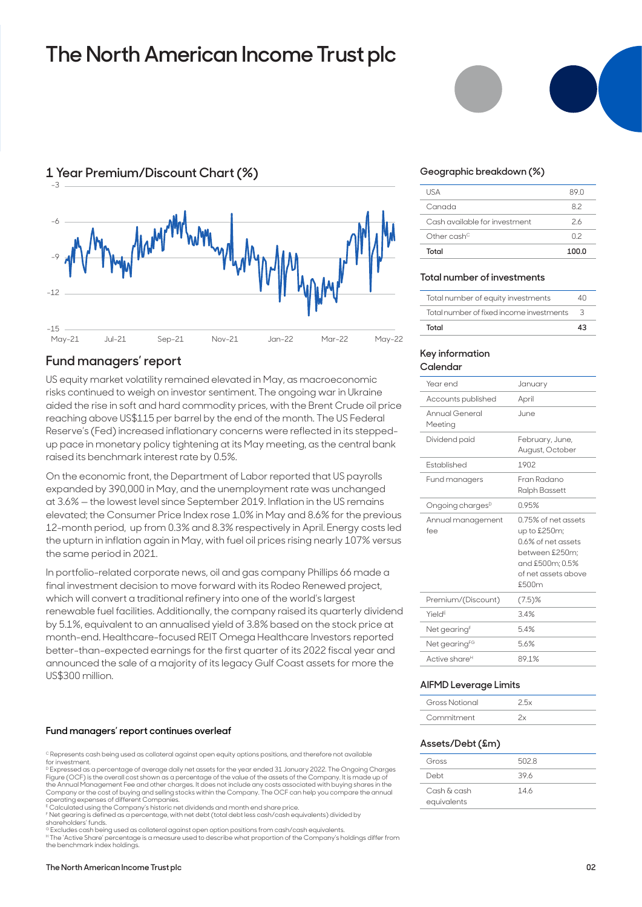# **The North American Income Trust plc**





US equity market volatility remained elevated in May, as macroeconomic risks continued to weigh on investor sentiment. The ongoing war in Ukraine aided the rise in soft and hard commodity prices, with the Brent Crude oil price reaching above US\$115 per barrel by the end of the month. The US Federal Reserve's (Fed) increased inflationary concerns were reflected in its steppedup pace in monetary policy tightening at its May meeting, as the central bank raised its benchmark interest rate by 0.5%.

On the economic front, the Department of Labor reported that US payrolls expanded by 390,000 in May, and the unemployment rate was unchanged at 3.6% — the lowest level since September 2019. Inflation in the US remains elevated; the Consumer Price Index rose 1.0% in May and 8.6% for the previous 12-month period, up from 0.3% and 8.3% respectively in April. Energy costs led the upturn in inflation again in May, with fuel oil prices rising nearly 107% versus the same period in 2021.

In portfolio-related corporate news, oil and gas company Phillips 66 made a final investment decision to move forward with its Rodeo Renewed project, which will convert a traditional refinery into one of the world's largest renewable fuel facilities. Additionally, the company raised its quarterly dividend by 5.1%, equivalent to an annualised yield of 3.8% based on the stock price at month-end. Healthcare-focused REIT Omega Healthcare Investors reported better-than-expected earnings for the first quarter of its 2022 fiscal year and announced the sale of a majority of its legacy Gulf Coast assets for more the US\$300 million.

## **Fund managers' report continues overleaf**

E Calculated using the Company's historic net dividends and month end share price.

F Net gearing is defined as a percentage, with net debt (total debt less cash/cash equivalents) divided by shareholders' funds.

<sup>G</sup> Excludes cash being used as collateral against open option positions from cash/cash equivalents.<br><sup>H</sup> The 'Active Share' percentage is a measure used to describe what proportion of the Company's holdings differ from the benchmark index holdings.



## **Geographic breakdown (%)**

| Total                         | 100.0 |
|-------------------------------|-------|
| Other cash <sup>c</sup>       | 02    |
| Cash available for investment | 26    |
| Canada                        | 82    |
| <b>USA</b>                    | 89 N  |
|                               |       |

## **Total number of investments**

| Total number of equity investments       | 40. |
|------------------------------------------|-----|
| Total number of fixed income investments | З   |
| Total                                    | 43  |

#### **Key information Calendar**

| Year end                     | January                                                                                                                          |
|------------------------------|----------------------------------------------------------------------------------------------------------------------------------|
| Accounts published           | April                                                                                                                            |
| Annual General<br>Meeting    | June.                                                                                                                            |
| Dividend paid                | February, June,<br>August, October                                                                                               |
| Established                  | 1902                                                                                                                             |
| Fund managers                | Fran Radano<br><b>Ralph Bassett</b>                                                                                              |
| Ongoing charges <sup>D</sup> | 0.95%                                                                                                                            |
| Annual management<br>fee     | 0.75% of net assets<br>up to £250m;<br>0.6% of net assets<br>between £250m;<br>and £500m: 0.5%<br>of net assets above<br>\$.500m |
| Premium/(Discount)           | $(7.5)$ %                                                                                                                        |
| Yield <sup>E</sup>           | 3.4%                                                                                                                             |
| Net gearing <sup>F</sup>     | 54%                                                                                                                              |
| Net gearing <sup>FG</sup>    | 56%                                                                                                                              |
| Active share <sup>H</sup>    | 891%                                                                                                                             |

## **AIFMD Leverage Limits**

| Gross Notional |  |
|----------------|--|
| Commitment     |  |

#### **Assets/Debt (£m)**

| Gross       | 5028 |
|-------------|------|
| Debt        | 396  |
| Cash & cash | 146  |
| equivalents |      |

C Represents cash being used as collateral against open equity options positions, and therefore not available for investment.

<sup>&</sup>lt;sup>p</sup> Expressed as a percentage of average daily net assets for the year ended 31 January 2022. The Ongoing Charges<br>Figure (OCF) is the overall cost shown as a percentage of the value of the assets of the Company. It is made the Annual Management Fee and other charges. It does not include any costs associated with buying shares in the Company or the cost of buying and selling stocks within the Company. The OCF can help you compare the annual operating expenses of different Companies.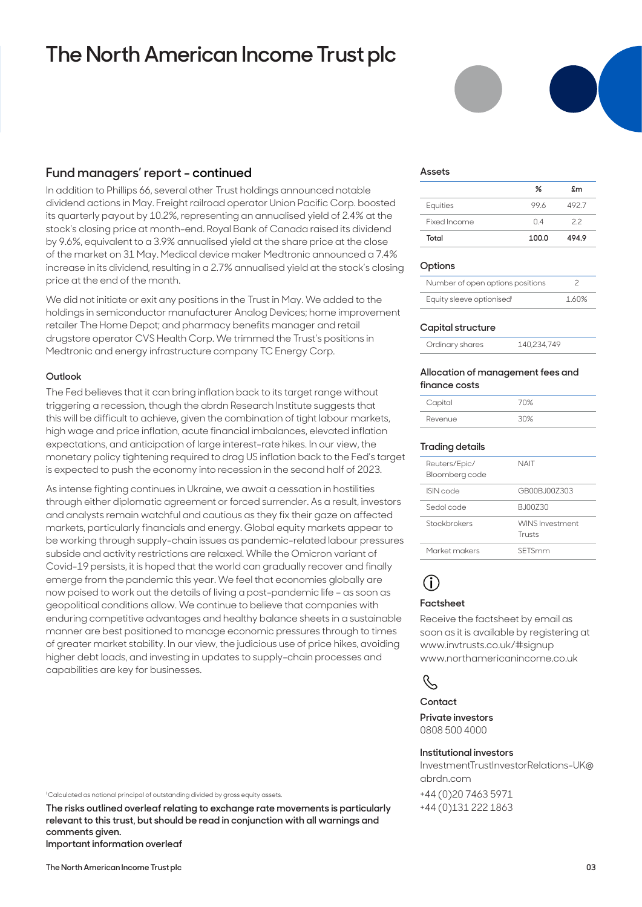# **The North American Income Trust plc**

## **Fund managers' report - continued**

In addition to Phillips 66, several other Trust holdings announced notable dividend actions in May. Freight railroad operator Union Pacific Corp. boosted its quarterly payout by 10.2%, representing an annualised yield of 2.4% at the stock's closing price at month-end. Royal Bank of Canada raised its dividend by 9.6%, equivalent to a 3.9% annualised yield at the share price at the close of the market on 31 May. Medical device maker Medtronic announced a 7.4% increase in its dividend, resulting in a 2.7% annualised yield at the stock's closing price at the end of the month.

We did not initiate or exit any positions in the Trust in May. We added to the holdings in semiconductor manufacturer Analog Devices; home improvement retailer The Home Depot; and pharmacy benefits manager and retail drugstore operator CVS Health Corp. We trimmed the Trust's positions in Medtronic and energy infrastructure company TC Energy Corp.

## **Outlook**

The Fed believes that it can bring inflation back to its target range without triggering a recession, though the abrdn Research Institute suggests that this will be difficult to achieve, given the combination of tight labour markets, high wage and price inflation, acute financial imbalances, elevated inflation expectations, and anticipation of large interest-rate hikes. In our view, the monetary policy tightening required to drag US inflation back to the Fed's target is expected to push the economy into recession in the second half of 2023.

As intense fighting continues in Ukraine, we await a cessation in hostilities through either diplomatic agreement or forced surrender. As a result, investors and analysts remain watchful and cautious as they fix their gaze on affected markets, particularly financials and energy. Global equity markets appear to be working through supply-chain issues as pandemic-related labour pressures subside and activity restrictions are relaxed. While the Omicron variant of Covid-19 persists, it is hoped that the world can gradually recover and finally emerge from the pandemic this year. We feel that economies globally are now poised to work out the details of living a post-pandemic life – as soon as geopolitical conditions allow. We continue to believe that companies with enduring competitive advantages and healthy balance sheets in a sustainable manner are best positioned to manage economic pressures through to times of greater market stability. In our view, the judicious use of price hikes, avoiding higher debt loads, and investing in updates to supply-chain processes and capabilities are key for businesses.

I Calculated as notional principal of outstanding divided by gross equity assets.

**The risks outlined overleaf relating to exchange rate movements is particularly relevant to this trust, but should be read in conjunction with all warnings and comments given. Important information overleaf**

#### **Assets**

|              | ℅     | £m    |
|--------------|-------|-------|
| Equities     | 996   | 492.7 |
| Fixed Income | 04    | 22    |
| Total        | 100.0 | 494.9 |

## **Options**

| Number of open options positions |       |
|----------------------------------|-------|
| Equity sleeve optionised         | 1.60% |

## **Capital structure**

| Ordinary shares | 140,234,749 |
|-----------------|-------------|

#### **Allocation of management fees and finance costs**

| Capital | 70% |
|---------|-----|
| Revenue | 30% |

## **Trading details**

| Reuters/Epic/<br>Bloomberg code | NAIT                             |
|---------------------------------|----------------------------------|
| ISIN code                       | GROOB IO07303                    |
| Sedol code                      | B.I00Z30                         |
| Stockbrokers                    | <b>WINS Investment</b><br>Trusts |
| Market makers                   | SETSmm                           |
|                                 |                                  |

# **i**

## **Factsheet**

Receive the factsheet by email as soon as it is available by registering at www.invtrusts.co.uk/#signup www.northamericanincome.co.uk

## $\mathcal{S}$

## **Contact**

**Private investors**  0808 500 4000

## **Institutional investors**

InvestmentTrustInvestorRelations-UK@ abrdn.com

+44 (0)20 7463 5971 +44 (0)131 222 1863